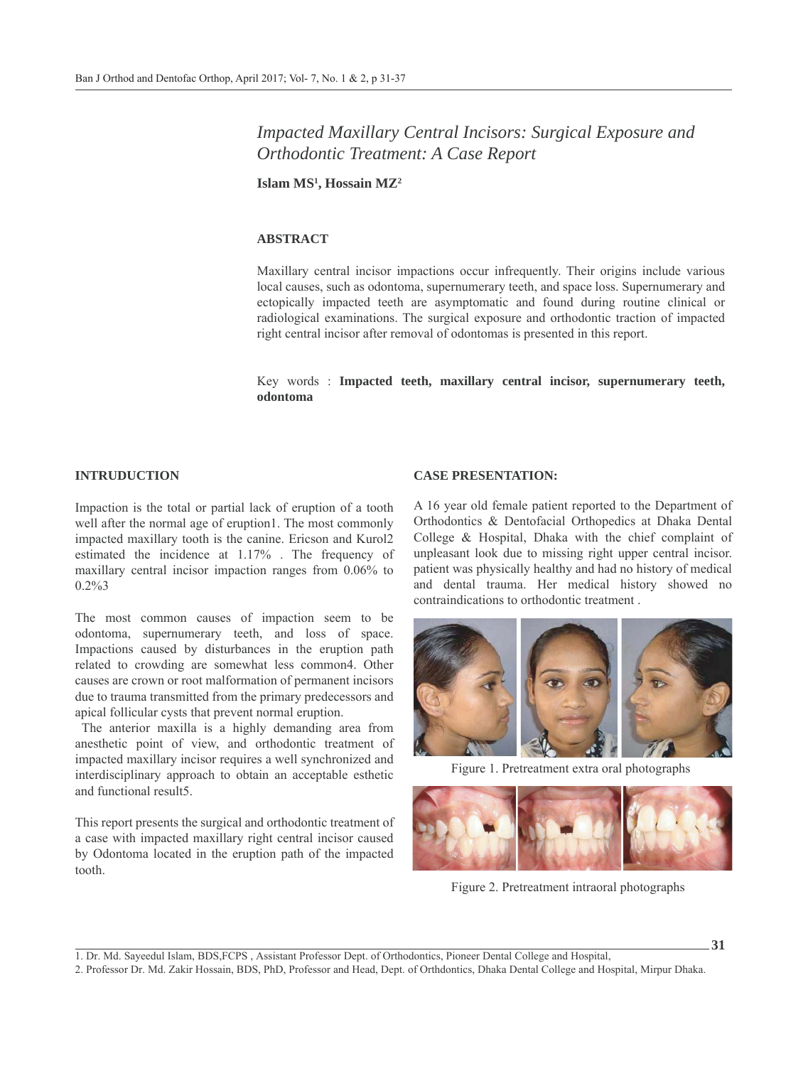# *Impacted Maxillary Central Incisors: Surgical Exposure and Orthodontic Treatment: A Case Report*

**Islam MS1 , Hossain MZ2**

## **ABSTRACT**

Maxillary central incisor impactions occur infrequently. Their origins include various local causes, such as odontoma, supernumerary teeth, and space loss. Supernumerary and ectopically impacted teeth are asymptomatic and found during routine clinical or radiological examinations. The surgical exposure and orthodontic traction of impacted right central incisor after removal of odontomas is presented in this report.

Key words : **Impacted teeth, maxillary central incisor, supernumerary teeth, odontoma**

#### **INTRUDUCTION**

Impaction is the total or partial lack of eruption of a tooth well after the normal age of eruption1. The most commonly impacted maxillary tooth is the canine. Ericson and Kurol2 estimated the incidence at 1.17% . The frequency of maxillary central incisor impaction ranges from 0.06% to 0.2%3

The most common causes of impaction seem to be odontoma, supernumerary teeth, and loss of space. Impactions caused by disturbances in the eruption path related to crowding are somewhat less common4. Other causes are crown or root malformation of permanent incisors due to trauma transmitted from the primary predecessors and apical follicular cysts that prevent normal eruption.

 The anterior maxilla is a highly demanding area from anesthetic point of view, and orthodontic treatment of impacted maxillary incisor requires a well synchronized and interdisciplinary approach to obtain an acceptable esthetic and functional result5.

This report presents the surgical and orthodontic treatment of a case with impacted maxillary right central incisor caused by Odontoma located in the eruption path of the impacted tooth.

## **CASE PRESENTATION:**

A 16 year old female patient reported to the Department of Orthodontics & Dentofacial Orthopedics at Dhaka Dental College & Hospital, Dhaka with the chief complaint of unpleasant look due to missing right upper central incisor. patient was physically healthy and had no history of medical and dental trauma. Her medical history showed no contraindications to orthodontic treatment .



Figure 1. Pretreatment extra oral photographs



Figure 2. Pretreatment intraoral photographs

**31**

1. Dr. Md. Sayeedul Islam, BDS,FCPS , Assistant Professor Dept. of Orthodontics, Pioneer Dental College and Hospital,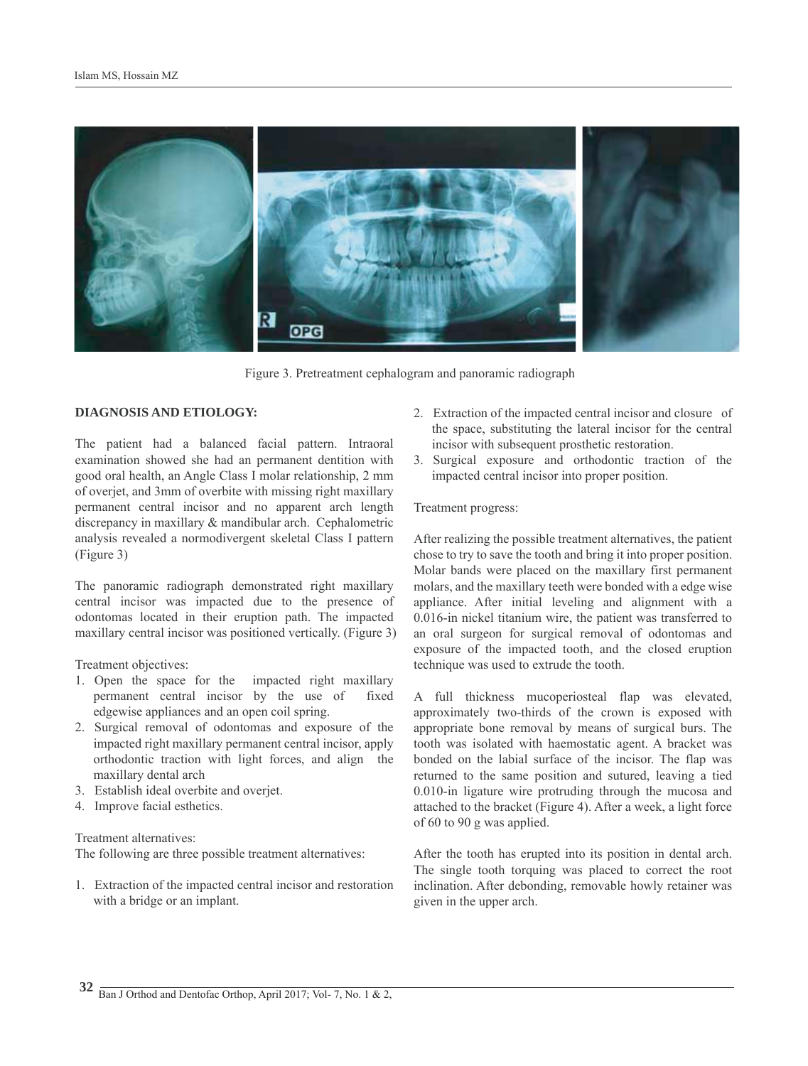

Figure 3. Pretreatment cephalogram and panoramic radiograph

# **DIAGNOSIS AND ETIOLOGY:**

The patient had a balanced facial pattern. Intraoral examination showed she had an permanent dentition with good oral health, an Angle Class I molar relationship, 2 mm of overjet, and 3mm of overbite with missing right maxillary permanent central incisor and no apparent arch length discrepancy in maxillary & mandibular arch. Cephalometric analysis revealed a normodivergent skeletal Class I pattern (Figure 3)

The panoramic radiograph demonstrated right maxillary central incisor was impacted due to the presence of odontomas located in their eruption path. The impacted maxillary central incisor was positioned vertically. (Figure 3)

Treatment objectives:

- 1. Open the space for the impacted right maxillary permanent central incisor by the use of fixed edgewise appliances and an open coil spring.
- 2. Surgical removal of odontomas and exposure of the impacted right maxillary permanent central incisor, apply orthodontic traction with light forces, and align the maxillary dental arch
- 3. Establish ideal overbite and overjet.
- 4. Improve facial esthetics.

#### Treatment alternatives:

The following are three possible treatment alternatives:

1. Extraction of the impacted central incisor and restoration with a bridge or an implant.

- 2. Extraction of the impacted central incisor and closure of the space, substituting the lateral incisor for the central incisor with subsequent prosthetic restoration.
- 3. Surgical exposure and orthodontic traction of the impacted central incisor into proper position.

#### Treatment progress:

After realizing the possible treatment alternatives, the patient chose to try to save the tooth and bring it into proper position. Molar bands were placed on the maxillary first permanent molars, and the maxillary teeth were bonded with a edge wise appliance. After initial leveling and alignment with a 0.016-in nickel titanium wire, the patient was transferred to an oral surgeon for surgical removal of odontomas and exposure of the impacted tooth, and the closed eruption technique was used to extrude the tooth.

A full thickness mucoperiosteal flap was elevated, approximately two-thirds of the crown is exposed with appropriate bone removal by means of surgical burs. The tooth was isolated with haemostatic agent. A bracket was bonded on the labial surface of the incisor. The flap was returned to the same position and sutured, leaving a tied 0.010-in ligature wire protruding through the mucosa and attached to the bracket (Figure 4). After a week, a light force of 60 to 90 g was applied.

After the tooth has erupted into its position in dental arch. The single tooth torquing was placed to correct the root inclination. After debonding, removable howly retainer was given in the upper arch.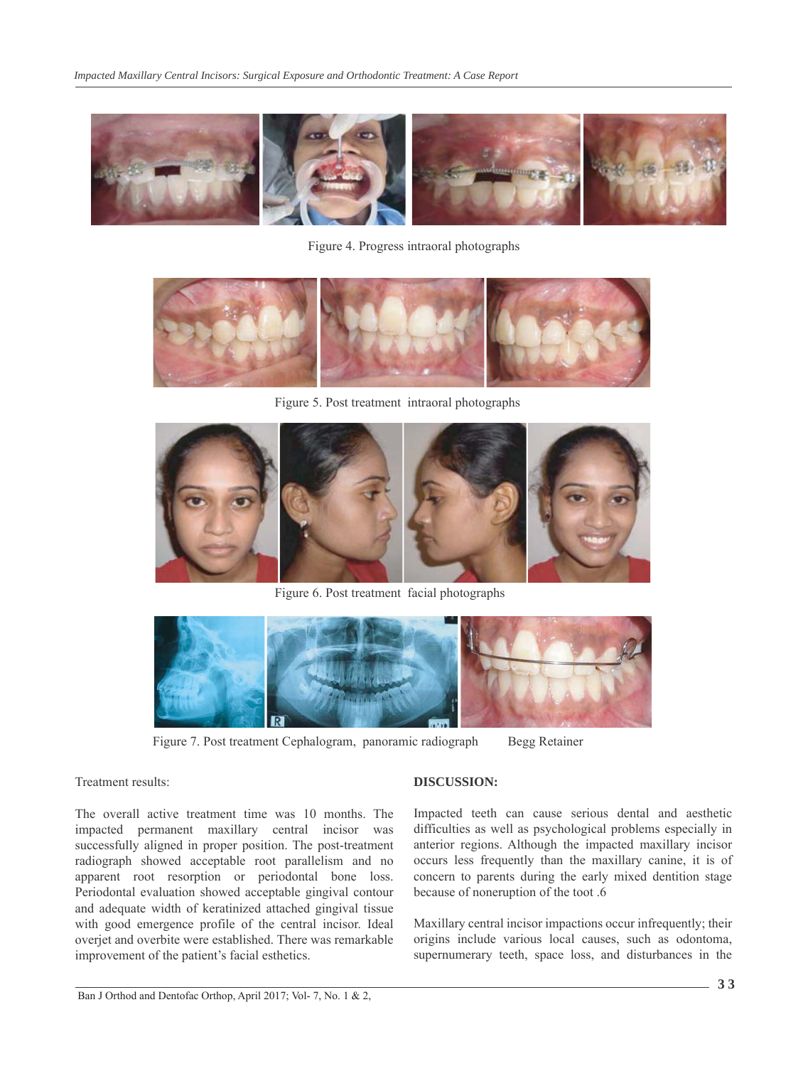

Figure 4. Progress intraoral photographs



Figure 5. Post treatment intraoral photographs



Figure 6. Post treatment facial photographs



Figure 7. Post treatment Cephalogram, panoramic radiograph Begg Retainer

#### Treatment results:

The overall active treatment time was 10 months. The impacted permanent maxillary central incisor was successfully aligned in proper position. The post-treatment radiograph showed acceptable root parallelism and no apparent root resorption or periodontal bone loss. Periodontal evaluation showed acceptable gingival contour and adequate width of keratinized attached gingival tissue with good emergence profile of the central incisor. Ideal overjet and overbite were established. There was remarkable improvement of the patient's facial esthetics.

## **DISCUSSION:**

Impacted teeth can cause serious dental and aesthetic difficulties as well as psychological problems especially in anterior regions. Although the impacted maxillary incisor occurs less frequently than the maxillary canine, it is of concern to parents during the early mixed dentition stage because of noneruption of the toot .6

Maxillary central incisor impactions occur infrequently; their origins include various local causes, such as odontoma, supernumerary teeth, space loss, and disturbances in the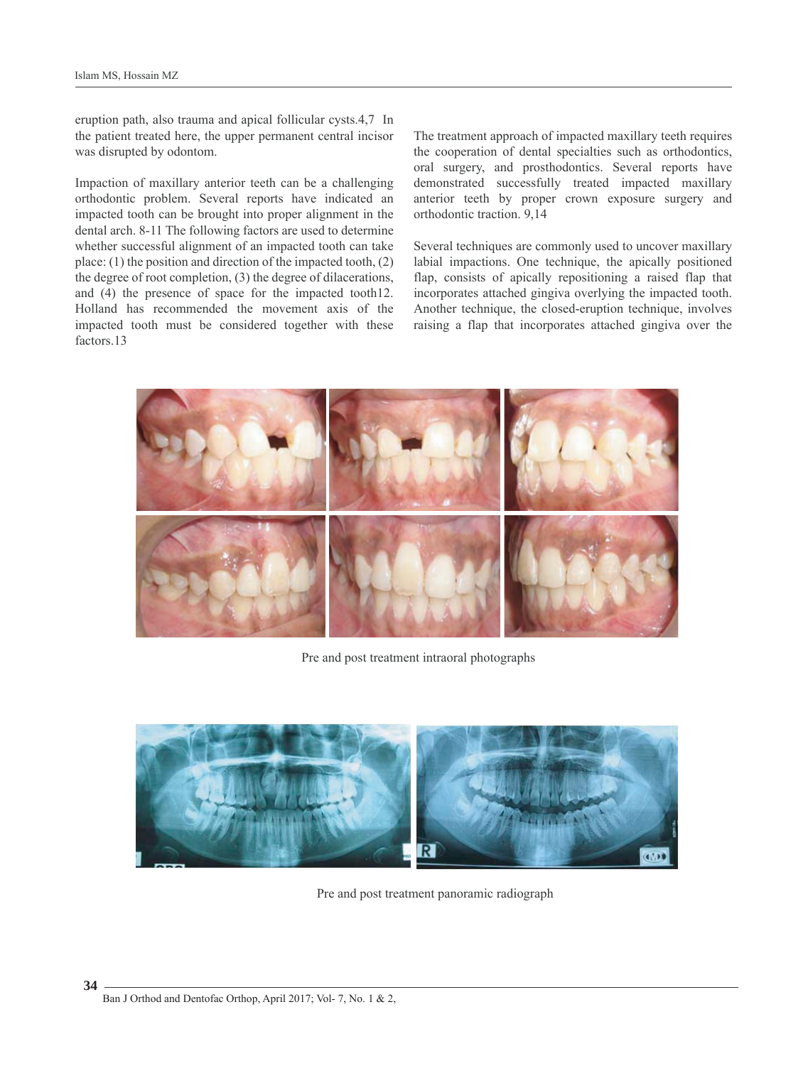eruption path, also trauma and apical follicular cysts.4,7 In the patient treated here, the upper permanent central incisor was disrupted by odontom.

Impaction of maxillary anterior teeth can be a challenging orthodontic problem. Several reports have indicated an impacted tooth can be brought into proper alignment in the dental arch. 8-11 The following factors are used to determine whether successful alignment of an impacted tooth can take place: (1) the position and direction of the impacted tooth, (2) the degree of root completion, (3) the degree of dilacerations, and (4) the presence of space for the impacted tooth12. Holland has recommended the movement axis of the impacted tooth must be considered together with these factors.13

The treatment approach of impacted maxillary teeth requires the cooperation of dental specialties such as orthodontics, oral surgery, and prosthodontics. Several reports have demonstrated successfully treated impacted maxillary anterior teeth by proper crown exposure surgery and orthodontic traction. 9,14

Several techniques are commonly used to uncover maxillary labial impactions. One technique, the apically positioned flap, consists of apically repositioning a raised flap that incorporates attached gingiva overlying the impacted tooth. Another technique, the closed-eruption technique, involves raising a flap that incorporates attached gingiva over the



Pre and post treatment intraoral photographs



Pre and post treatment panoramic radiograph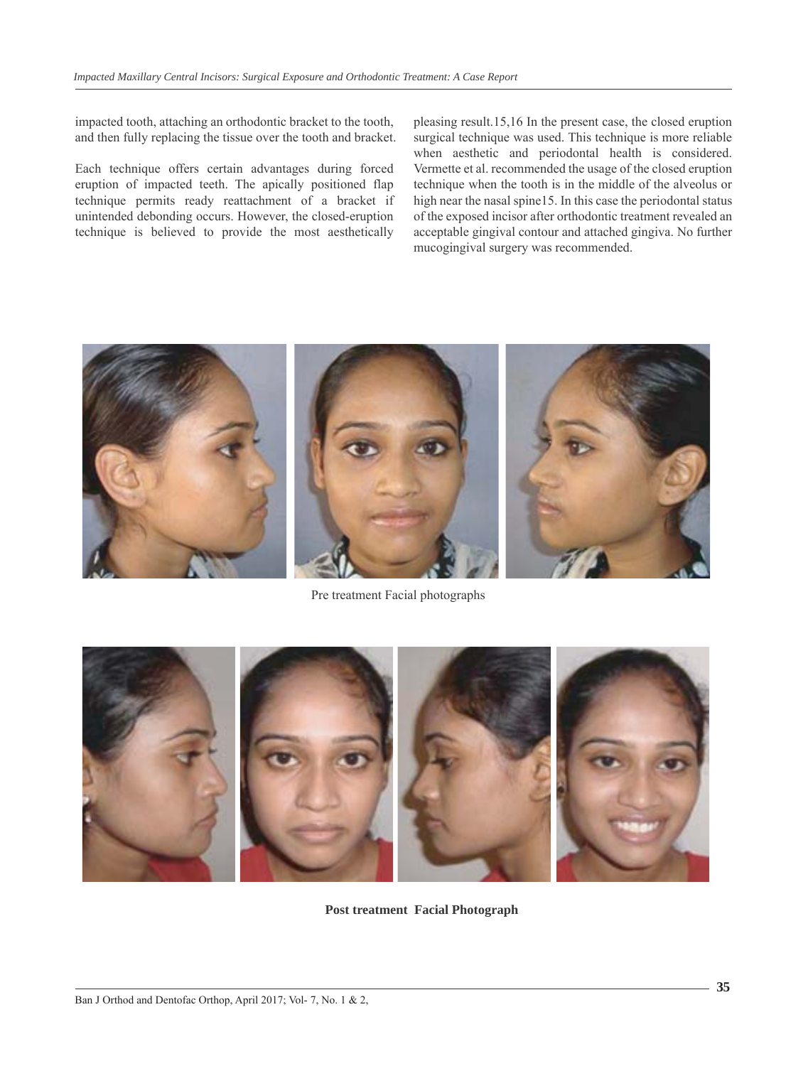impacted tooth, attaching an orthodontic bracket to the tooth, and then fully replacing the tissue over the tooth and bracket.

Each technique offers certain advantages during forced eruption of impacted teeth. The apically positioned flap technique permits ready reattachment of a bracket if unintended debonding occurs. However, the closed-eruption technique is believed to provide the most aesthetically pleasing result.15,16 In the present case, the closed eruption surgical technique was used. This technique is more reliable when aesthetic and periodontal health is considered. Vermette et al. recommended the usage of the closed eruption technique when the tooth is in the middle of the alveolus or high near the nasal spine15. In this case the periodontal status of the exposed incisor after orthodontic treatment revealed an acceptable gingival contour and attached gingiva. No further mucogingival surgery was recommended.



Pre treatment Facial photographs



**Post treatment Facial Photograph**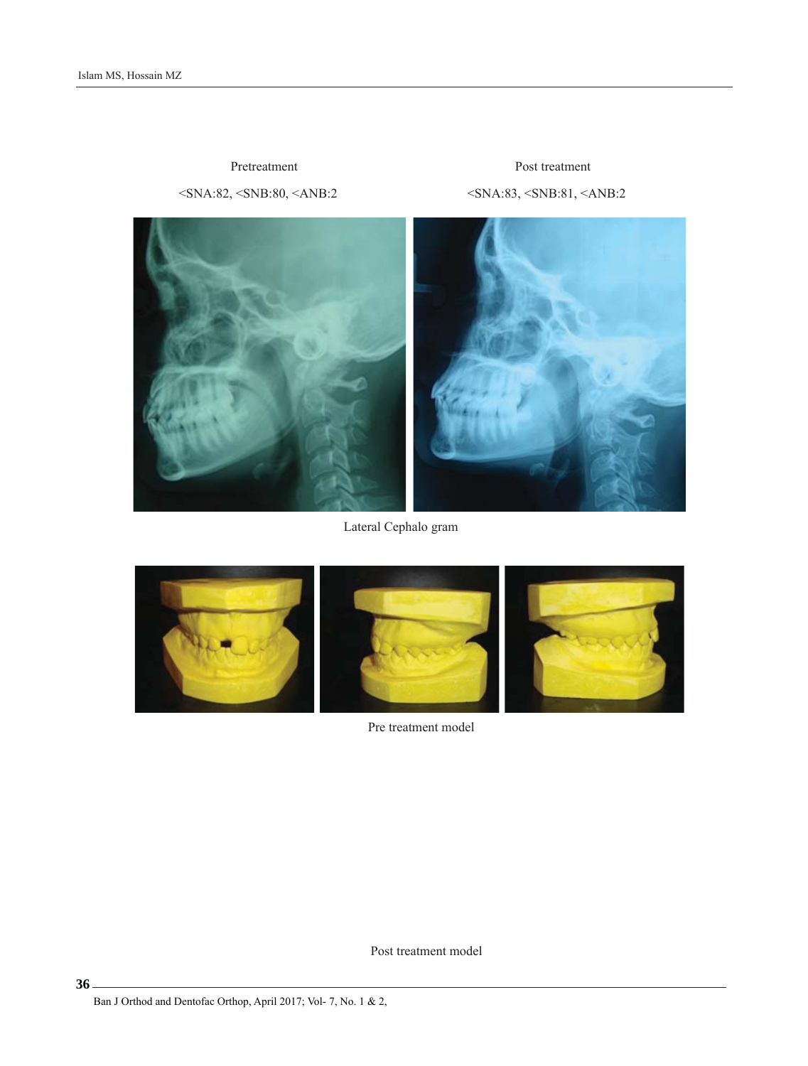<SNA:82, <SNB:80, <ANB:2 <SNA:83, <SNB:81, <ANB:2 Pretreatment Post treatment



Lateral Cephalo gram



Pre treatment model

Post treatment model